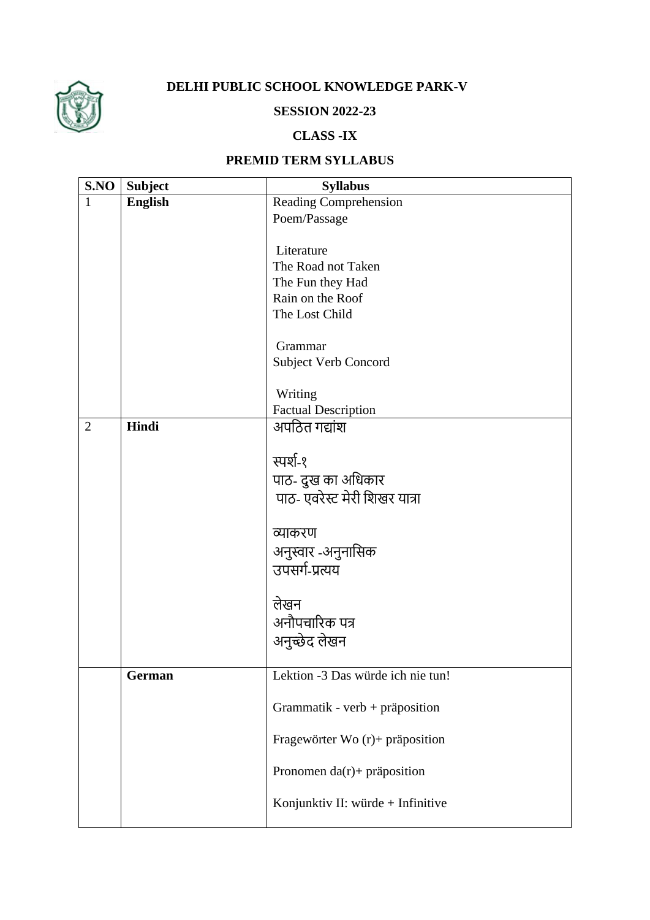

## **DELHI PUBLIC SCHOOL KNOWLEDGE PARK-V**

## **SESSION 2022-23**

## **CLASS -IX**

## **PREMID TERM SYLLABUS**

| S.NO           | <b>Subject</b> | <b>Syllabus</b>                   |
|----------------|----------------|-----------------------------------|
| $\mathbf{1}$   | <b>English</b> | Reading Comprehension             |
|                |                | Poem/Passage                      |
|                |                |                                   |
|                |                | Literature                        |
|                |                | The Road not Taken                |
|                |                | The Fun they Had                  |
|                |                | Rain on the Roof                  |
|                |                | The Lost Child                    |
|                |                |                                   |
|                |                | Grammar                           |
|                |                | <b>Subject Verb Concord</b>       |
|                |                |                                   |
|                |                | Writing                           |
|                |                | <b>Factual Description</b>        |
| $\overline{2}$ | Hindi          | अपठित गद्यांश                     |
|                |                |                                   |
|                |                | स्पर्श-१                          |
|                |                | पाठ- दुख का अधिकार                |
|                |                | पाठ- एवरेस्ट मेरी शिखर यात्रा     |
|                |                |                                   |
|                |                | व्याकरण                           |
|                |                |                                   |
|                |                | अनुस्वार -अनुनासिक                |
|                |                | उपसर्ग-प्रत्यय                    |
|                |                |                                   |
|                |                | लेखन                              |
|                |                | अनौपचारिक पत्र                    |
|                |                | अनुच्छेद लेखन                     |
|                |                |                                   |
|                | German         | Lektion -3 Das würde ich nie tun! |
|                |                |                                   |
|                |                | Grammatik - verb + präposition    |
|                |                |                                   |
|                |                | Fragewörter Wo (r)+ präposition   |
|                |                |                                   |
|                |                | Pronomen da(r)+ präposition       |
|                |                |                                   |
|                |                | Konjunktiv II: würde + Infinitive |
|                |                |                                   |